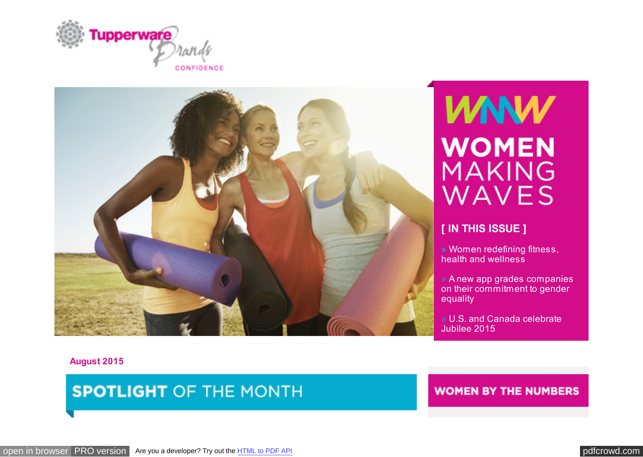<span id="page-0-0"></span>



# **VANW WOMEN MAKING** WAVES

# **[ IN THIS ISSUE ]**

**»** Women redefining fitness, health and wellness

» A new app grades companies on their commitment to gender equality

» U.S. and Canada celebrate Jubilee 2015

**August 2015**

# **SPOTLIGHT OF THE MONTH**

**WOMEN BY THE NUMBERS**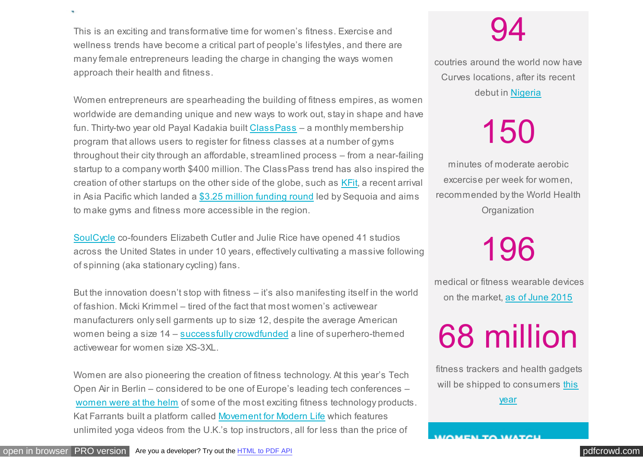This is an exciting and transformative time for women's fitness. Exercise and wellness trends have become a critical part of people's lifestyles, and there are many female entrepreneurs leading the charge in changing the ways women approach their health and fitness.

Women entrepreneurs are spearheading the building of fitness empires, as women worldwide are demanding unique and new ways to work out, stay in shape and have fun. Thirty-two year old Payal Kadakia built [ClassPass](https://t.e2ma.net/click/l94cs/ldkrsu/l9sf2i) – a monthly membership program that allows users to register for fitness classes at a number of gyms throughout their city through an affordable, streamlined process – from a near-failing startup to a company worth \$400 million. The ClassPass trend has also inspired the creation of other startups on the other side of the globe, such as [KFit,](https://t.e2ma.net/click/l94cs/ldkrsu/11tf2i) a recent arrival in Asia Pacific which landed a [\\$3.25 million funding round](https://t.e2ma.net/click/l94cs/ldkrsu/huuf2i) led by Sequoia and aims to make gyms and fitness more accessible in the region.

[SoulCycle](https://t.e2ma.net/click/l94cs/ldkrsu/xmvf2i) co-founders Elizabeth Cutler and Julie Rice have opened 41 studios across the United States in under 10 years, effectively cultivating a massive following of spinning (aka stationary cycling) fans.

But the innovation doesn't stop with fitness – it's also manifesting itself in the world of fashion. Micki Krimmel – tired of the fact that most women's activewear manufacturers only sell garments up to size 12, despite the average American women being a size 14 – [successfully](https://t.e2ma.net/click/l94cs/ldkrsu/dfwf2i) [crowdfunded](https://t.e2ma.net/click/l94cs/ldkrsu/t7wf2i) a line of superhero-themed activewear for women size XS-3XL.

Women are also pioneering the creation of fitness technology. At this year's Tech Open Air in Berlin – considered to be one of Europe's leading tech conferences – [women were at the helm](https://t.e2ma.net/click/l94cs/ldkrsu/9zxf2i) of some of the most exciting fitness technology products. Kat Farrants built a platform called [Movement for Modern](https://t.e2ma.net/click/l94cs/ldkrsu/psyf2i) [Life](https://t.e2ma.net/click/l94cs/ldkrsu/5kzf2i) which features unlimited yoga videos from the U.K.'s top instructors, all for less than the price of

excercise per week for women, recommended by the World Health **Organization** 

94

coutries around the world now have

Curves locations, after its recent debut in [Nigeria](https://t.e2ma.net/click/l94cs/ldkrsu/97bg2i)

150

minutes of moderate aerobic

# 196

 medical or fitness wearable devices on the market, [as of June 2015](https://t.e2ma.net/click/l94cs/ldkrsu/p0cg2i)

68 million

fitness trackers and health gadgets will be shippe[d to consumers this](https://t.e2ma.net/click/l94cs/ldkrsu/5sdg2i)

year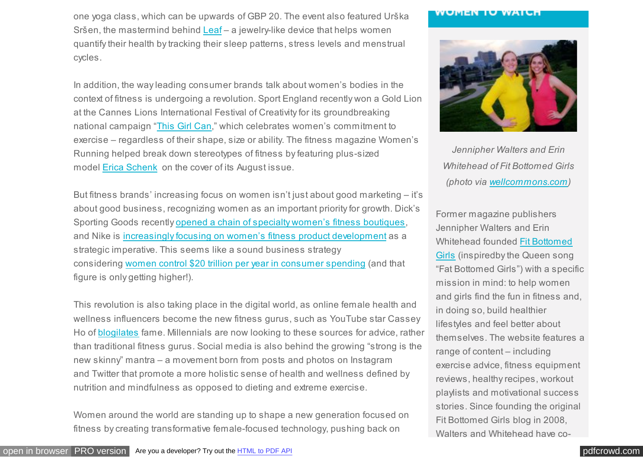one yoga class, which can be upwards of GBP 20. The event also featured Urška Sršen, the mastermind behind [Leaf](https://t.e2ma.net/click/l94cs/ldkrsu/ld0f2i) – a jewelry-like device that helps women quantify their health by tracking their sleep patterns, stress levels and menstrual cycles.

In addition, the way leading consumer brands talk about women's bodies in the context of fitness is undergoing a revolution. Sport England recently won a Gold Lion at the Cannes Lions International Festival of Creativity for its groundbreaking national campaign ["This Girl Can,](https://t.e2ma.net/click/l94cs/ldkrsu/150f2i)" which celebrates women's commitment to exercise – regardless of their shape, size or ability. The fitness magazine Women's Running helped break down stereotypes of fitness by featuring plus-sized model [Erica Schenk](https://t.e2ma.net/click/l94cs/ldkrsu/hy1f2i) on the cover of its August issue.

But fitness brands' increasing focus on women isn't just about good marketing – it's about good business, recognizing women as an important priority for growth. Dick's Sporting Goods recently [opened](https://t.e2ma.net/click/l94cs/ldkrsu/xq2f2i) [a chain of specialty women's fitness boutiques,](https://t.e2ma.net/click/l94cs/ldkrsu/dj3f2i) and Nike is [increasingly focusing on women's fitness](https://t.e2ma.net/click/l94cs/ldkrsu/tb4f2i) [product development](https://t.e2ma.net/click/l94cs/ldkrsu/934f2i) as a strategic imperative. This seems like a sound business strategy considering [women control \\$20 trillion per year in consumer spending](https://t.e2ma.net/click/l94cs/ldkrsu/pw5f2i) (and that figure is only getting higher!).

This revolution is also taking place in the digital world, as online female health and wellness influencers become the new fitness gurus, such as YouTube star Cassey Ho of [blogilates](https://t.e2ma.net/click/l94cs/ldkrsu/5o6f2i) fame. Millennials are now looking to these sources for advice, rather than traditional fitness gurus. Social media is also behind the growing "strong is the new skinny" mantra – a movement born from posts and photos on Instagram and Twitter that promote a more holistic sense of health and wellness defined by nutrition and mindfulness as opposed to dieting and extreme exercise.

Women around the world are standing up to shape a new generation focused on fitness by creating transformative female-focused technology, pushing back on

#### WUMEN IU WAILH



*Jennipher Walters and Erin Whitehead of Fit Bottomed Girls (photo via [wellcommons.com\)](https://t.e2ma.net/click/l94cs/ldkrsu/lleg2i)*

Former magazine publishers Jennipher Walters and Erin Whitehead founded Fit Bottomed [Girls \(inspiredby the Queen song](https://t.e2ma.net/click/l94cs/ldkrsu/1dfg2i) "Fat Bottomed Girls") with a specific mission in mind: to help women and girls find the fun in fitness and, in doing so, build healthier lifestyles and feel better about themselves. The website features a range of content – including exercise advice, fitness equipment reviews, healthy recipes, workout playlists and motivational success stories. Since founding the original Fit Bottomed Girls blog in 2008, Walters and Whitehead have co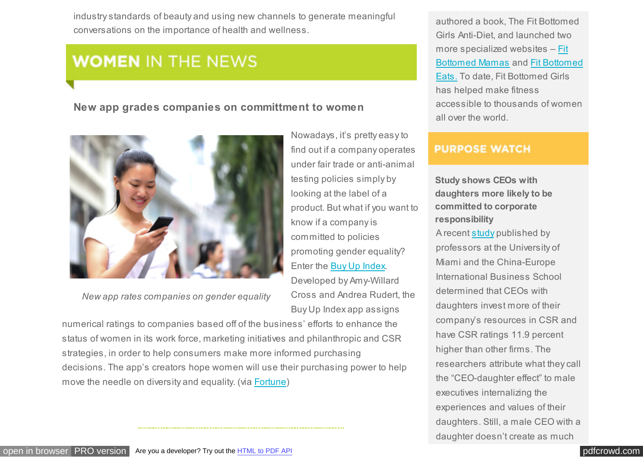industry standards of beauty and using new channels to generate meaningful conversations on the importance of health and wellness.

# **WOMEN IN THE NEWS**

# **New app grades companies on committment to women**



*New app rates companies on gender equality*

Nowadays, it's pretty easy to find out if a company operates under fair trade or anti-animal testing policies simply by looking at the label of a product. But what if you want to know if a company is committed to policies promoting gender equality? Enter the [Buy Up Index.](https://t.e2ma.net/click/l94cs/ldkrsu/lh7f2i)

Developed by Amy-Willard Cross and Andrea Rudert, the Buy Up Index app assigns

numerical ratings to companies based off of the business' efforts to enhance the status of women in its work force, marketing initiatives and philanthropic and CSR strategies, in order to help consumers make more informed purchasing decisions. The app's creators hope women will use their purchasing power to help move the needle on diversity and equality. (via [Fortune\)](https://t.e2ma.net/click/l94cs/ldkrsu/197f2i)

authored a book, The Fit Bottomed Girls Anti-Diet, and launched two more specialized websites – Fit [Bottomed Mamas and Fit Bottomed](https://t.e2ma.net/click/l94cs/ldkrsu/xygg2i) Eats[.](https://t.e2ma.net/click/l94cs/ldkrsu/drhg2i) To date, Fit Bottomed Girls has helped make fitness accessible to thousands of women all over the world.

Walters and Whitehead have co-

# **PURPOSE WATCH**

**Study shows CEOs with daughters more likely to be committed to corporate responsibility** A recent [study](https://t.e2ma.net/click/l94cs/ldkrsu/tjig2i) published by professors at the University of Miami and the China-Europe International Business School determined that CEOs with daughters invest more of their company's resources in CSR and have CSR ratings 11.9 percent higher than other firms. The researchers attribute what they call the "CEO-daughter effect" to male executives internalizing the experiences and values of their daughters. Still, a male CEO with a daughter doesn't create as much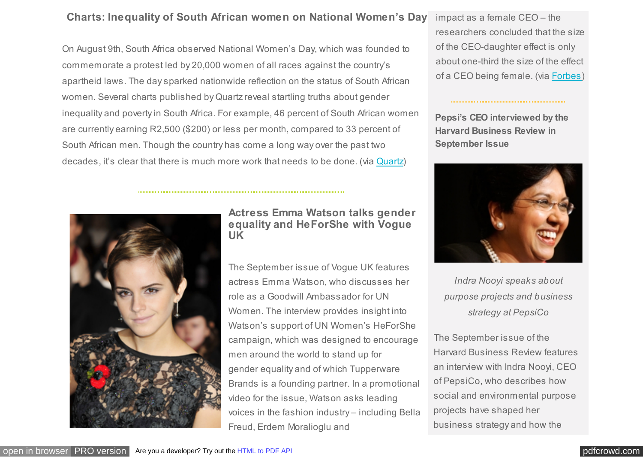# **Charts: Inequality of South African women on National Women's Day**

On August 9th, South Africa observed National Women's Day, which was founded to commemorate a protest led by 20,000 women of all races against the country's apartheid laws. The day sparked nationwide reflection on the status of South African women. Several charts published by Quartz reveal startling truths about gender inequality and poverty in South Africa. For example, 46 percent of South African women are currently earning R2,500 (\$200) or less per month, compared to 33 percent of South African men. Though the country has come a long way over the past two decades, it's clear that there is much more work that needs to be done. (via [Quartz\)](https://t.e2ma.net/click/l94cs/ldkrsu/h28f2i)

impact as a female CEO – the researchers concluded that the size of the CEO-daughter effect is only about one-third the size of the effect of a CEO being female. (via [Forbes\)](https://t.e2ma.net/click/l94cs/ldkrsu/9bjg2i)

**Pepsi's CEO interviewed by the Harvard Business Review in September Issue**



*Indra Nooyi speaks about purpose projects and business strategy at PepsiCo*

The September issue of the Harvard Business Review features an interview with Indra Nooyi, CEO of PepsiCo, who describes how social and environmental purpose projects have shaped her business strategy and how the



**Actress Emma Watson talks gender equality and HeForShe with Vogue UK**

The September issue of Vogue UK features actress Emma Watson, who discusses her role as a Goodwill Ambassador for UN Women. The interview provides insight into Watson's support of UN Women's HeForShe campaign, which was designed to encourage men around the world to stand up for gender equality and of which Tupperware Brands is a founding partner. In a promotional video for the issue, Watson asks leading voices in the fashion industry – including Bella Freud, Erdem Moralioglu and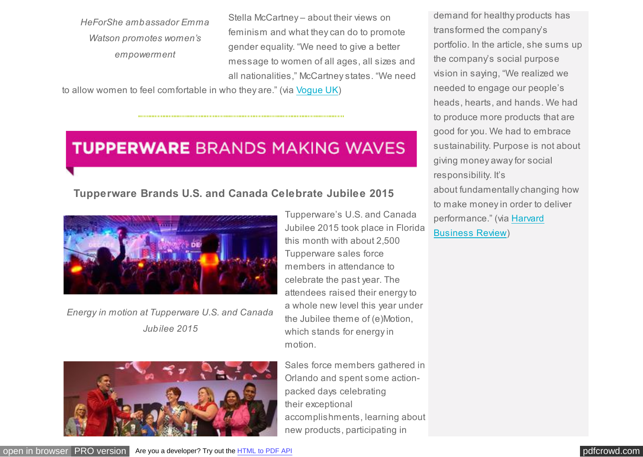*HeForShe ambassador Emma Watson promotes women's empowerment*

Stella McCartney – about their views on feminism and what they can do to promote gender equality. "We need to give a better message to women of all ages, all sizes and all nationalities," McCartney states. "We need

to allow women to feel comfortable in who they are." (via [Vogue UK\)](https://t.e2ma.net/click/l94cs/ldkrsu/xu9f2i)

# **TUPPERWARE BRANDS MAKING WAVES**

# **Tupperware Brands U.S. and Canada Celebrate Jubilee 2015**



*Energy in motion at Tupperware U.S. and Canada Jubilee 2015*



Tupperware's U.S. and Canada Jubilee 2015 took place in Florida this month with about 2,500 Tupperware sales force members in attendance to celebrate the past year. The attendees raised their energy to a whole new level this year under the Jubilee theme of (e)Motion, which stands for energy in motion.

Sales force members gathered in Orlando and spent some actionpacked days celebrating their exceptional accomplishments, learning about new products, participating in

demand for healthy products has transformed the company's portfolio. In the article, she sums up the company's social purpose vision in saying, "We realized we needed to engage our people's heads, hearts, and hands. We had to produce more products that are good for you. We had to embrace sustainability. Purpose is not about giving money away for social responsibility. It's about fundamentally changing how to make money in order to deliver [performance." \(via Harvard](https://t.e2ma.net/click/l94cs/ldkrsu/p4jg2i) Business [Review\)](https://t.e2ma.net/click/l94cs/ldkrsu/5wkg2i)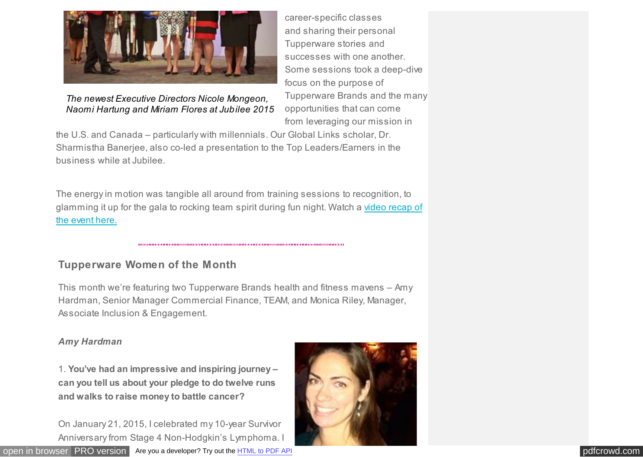

# *The newest Executive Directors Nicole Mongeon, Naomi Hartung and Miriam Flores at Jubilee 2015*

career-specific classes and sharing their personal Tupperware stories and successes with one another. Some sessions took a deep-dive focus on the purpose of Tupperware Brands and the many opportunities that can come from leveraging our mission in

the U.S. and Canada – particularly with millennials. Our Global Links scholar, Dr. Sharmistha Banerjee, also co-led a presentation to the Top Leaders/Earners in the business while at Jubilee.

The energy in motion was tangible all around from training sessions to recognition, to [glamming it up for the gala to rocking team spirit during fun night. Watch a video recap of](https://t.e2ma.net/click/l94cs/ldkrsu/dnag2i) the event her[e.](https://t.e2ma.net/click/l94cs/ldkrsu/tfbg2i)

# **Tupperware Women of the Month**

This month we're featuring two Tupperware Brands health and fitness mavens – Amy Hardman, Senior Manager Commercial Finance, TEAM, and Monica Riley, Manager, Associate Inclusion & Engagement.

# *Amy Hardman*

1. **You've had an impressive and inspiring journey – can you tell us about your pledge to do twelve runs and walks to raise money to battle cancer?**

On January 21, 2015, I celebrated my 10-year Survivor Anniversary from Stage 4 Non-Hodgkin's Lymphoma. I



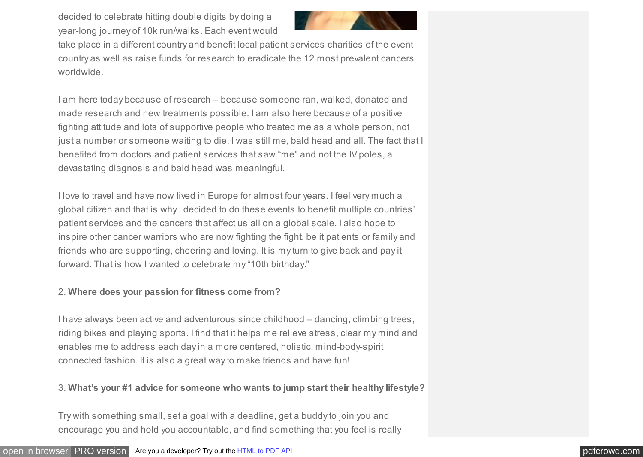decided to celebrate hitting double digits by doing a year-long journey of 10k run/walks. Each event would



take place in a different country and benefit local patient services charities of the event country as well as raise funds for research to eradicate the 12 most prevalent cancers worldwide.

I am here today because of research – because someone ran, walked, donated and made research and new treatments possible. I am also here because of a positive fighting attitude and lots of supportive people who treated me as a whole person, not just a number or someone waiting to die. I was still me, bald head and all. The fact that I benefited from doctors and patient services that saw "me" and not the IV poles, a devastating diagnosis and bald head was meaningful.

I love to travel and have now lived in Europe for almost four years. I feel very much a global citizen and that is why I decided to do these events to benefit multiple countries' patient services and the cancers that affect us all on a global scale. I also hope to inspire other cancer warriors who are now fighting the fight, be it patients or family and friends who are supporting, cheering and loving. It is my turn to give back and pay it forward. That is how I wanted to celebrate my "10th birthday."

## 2. **Where does your passion for fitness come from?**

I have always been active and adventurous since childhood – dancing, climbing trees, riding bikes and playing sports. I find that it helps me relieve stress, clear my mind and enables me to address each day in a more centered, holistic, mind-body-spirit connected fashion. It is also a great way to make friends and have fun!

# 3. **What's your #1 advice for someone who wants to jump start their healthy lifestyle?**

Try with something small, set a goal with a deadline, get a buddy to join you and encourage you and hold you accountable, and find something that you feel is really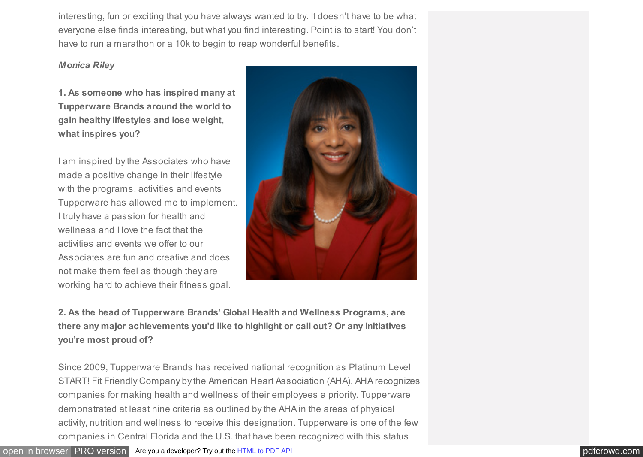interesting, fun or exciting that you have always wanted to try. It doesn't have to be what everyone else finds interesting, but what you find interesting. Point is to start! You don't have to run a marathon or a 10k to begin to reap wonderful benefits.

### *Monica Riley*

**1. As someone who has inspired many at Tupperware Brands around the world to gain healthy lifestyles and lose weight, what inspires you?** 

I am inspired by the Associates who have made a positive change in their lifestyle with the programs, activities and events Tupperware has allowed me to implement. I truly have a passion for health and wellness and I love the fact that the activities and events we offer to our Associates are fun and creative and does not make them feel as though they are working hard to achieve their fitness goal.



**2. As the head of Tupperware Brands' Global Health and Wellness Programs, are there any major achievements you'd like to highlight or call out? Or any initiatives you're most proud of?**

Since 2009, Tupperware Brands has received national recognition as Platinum Level START! Fit Friendly Company by the American Heart Association (AHA). AHA recognizes companies for making health and wellness of their employees a priority. Tupperware demonstrated at least nine criteria as outlined by the AHA in the areas of physical activity, nutrition and wellness to receive this designation. Tupperware is one of the few companies in Central Florida and the U.S. that have been recognized with this status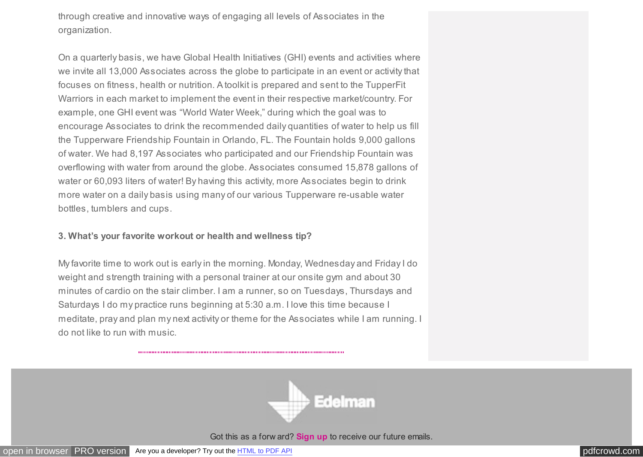through creative and innovative ways of engaging all levels of Associates in the organization.

On a quarterly basis, we have Global Health Initiatives (GHI) events and activities where we invite all 13,000 Associates across the globe to participate in an event or activity that focuses on fitness, health or nutrition. A toolkit is prepared and sent to the TupperFit Warriors in each market to implement the event in their respective market/country. For example, one GHI event was "World Water Week," during which the goal was to encourage Associates to drink the recommended daily quantities of water to help us fill the Tupperware Friendship Fountain in Orlando, FL. The Fountain holds 9,000 gallons of water. We had 8,197 Associates who participated and our Friendship Fountain was overflowing with water from around the globe. Associates consumed 15,878 gallons of water or 60,093 liters of water! By having this activity, more Associates begin to drink more water on a daily basis using many of our various Tupperware re-usable water bottles, tumblers and cups.

## **3. What's your favorite workout or health and wellness tip?**

My favorite time to work out is early in the morning. Monday, Wednesday and Friday I do weight and strength training with a personal trainer at our onsite gym and about 30 minutes of cardio on the stair climber. I am a runner, so on Tuesdays, Thursdays and Saturdays I do my practice runs beginning at 5:30 a.m. I love this time because I meditate, pray and plan my next activity or theme for the Associates while I am running. I do not like to run with music.



Got this as a forw ard? **[Sign up](https://app.e2ma.net/app2/audience/signup/1767976/1740631.30366551/?v=a)** to receive our future emails.